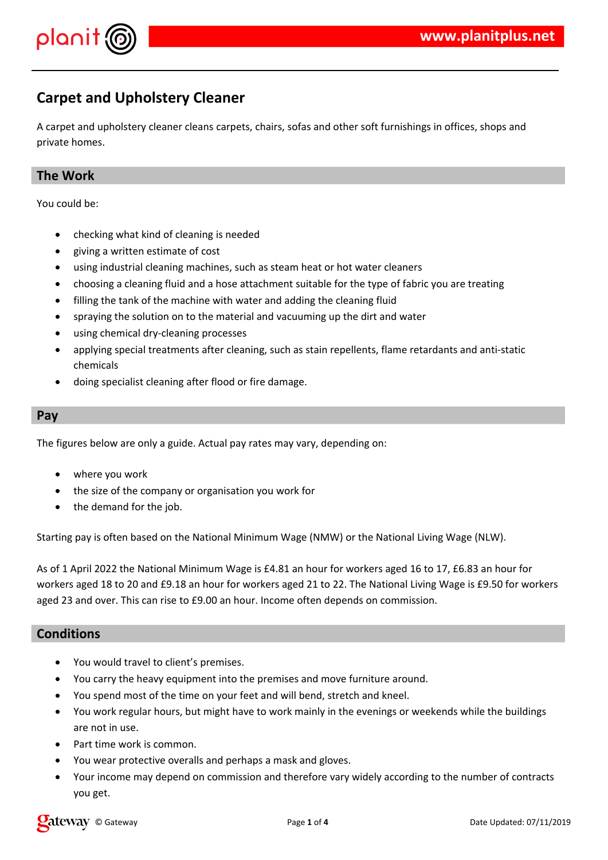

# **Carpet and Upholstery Cleaner**

A carpet and upholstery cleaner cleans carpets, chairs, sofas and other soft furnishings in offices, shops and private homes.

### **The Work**

You could be:

- checking what kind of cleaning is needed
- giving a written estimate of cost
- using industrial cleaning machines, such as steam heat or hot water cleaners
- choosing a cleaning fluid and a hose attachment suitable for the type of fabric you are treating
- filling the tank of the machine with water and adding the cleaning fluid
- spraying the solution on to the material and vacuuming up the dirt and water
- using chemical dry-cleaning processes
- applying special treatments after cleaning, such as stain repellents, flame retardants and anti-static chemicals
- doing specialist cleaning after flood or fire damage.

#### **Pay**

The figures below are only a guide. Actual pay rates may vary, depending on:

- where you work
- the size of the company or organisation you work for
- the demand for the job.

Starting pay is often based on the National Minimum Wage (NMW) or the National Living Wage (NLW).

As of 1 April 2022 the National Minimum Wage is £4.81 an hour for workers aged 16 to 17, £6.83 an hour for workers aged 18 to 20 and £9.18 an hour for workers aged 21 to 22. The National Living Wage is £9.50 for workers aged 23 and over. This can rise to £9.00 an hour. Income often depends on commission.

#### **Conditions**

- You would travel to client's premises.
- You carry the heavy equipment into the premises and move furniture around.
- You spend most of the time on your feet and will bend, stretch and kneel.
- You work regular hours, but might have to work mainly in the evenings or weekends while the buildings are not in use.
- Part time work is common.
- You wear protective overalls and perhaps a mask and gloves.
- Your income may depend on commission and therefore vary widely according to the number of contracts you get.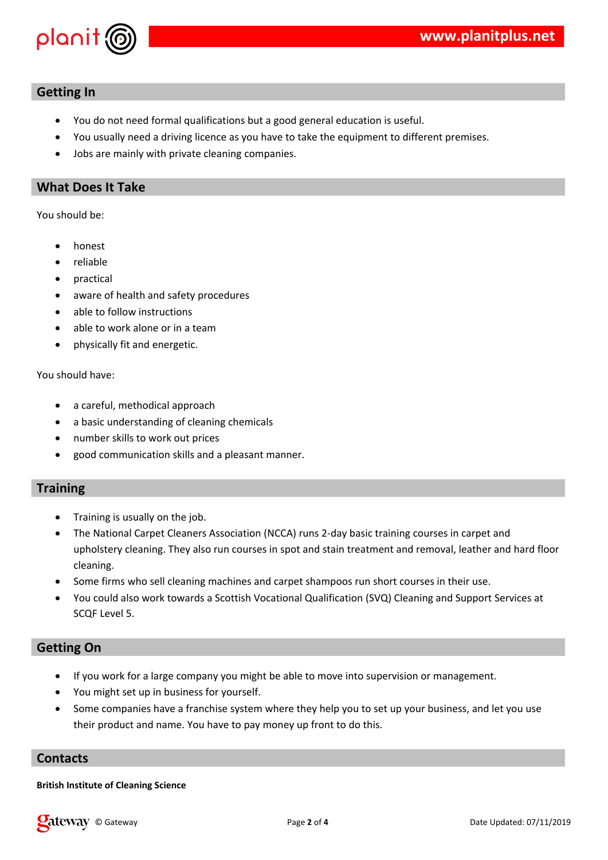

### **Getting In**

- You do not need formal qualifications but a good general education is useful.
- You usually need a driving licence as you have to take the equipment to different premises.
- Jobs are mainly with private cleaning companies.

#### **What Does It Take**

You should be:

- honest
- reliable
- practical
- aware of health and safety procedures
- able to follow instructions
- able to work alone or in a team
- physically fit and energetic.

You should have:

- a careful, methodical approach
- a basic understanding of cleaning chemicals
- number skills to work out prices
- good communication skills and a pleasant manner.

#### **Training**

- Training is usually on the job.
- The National Carpet Cleaners Association (NCCA) runs 2-day basic training courses in carpet and upholstery cleaning. They also run courses in spot and stain treatment and removal, leather and hard floor cleaning.
- Some firms who sell cleaning machines and carpet shampoos run short courses in their use.
- You could also work towards a Scottish Vocational Qualification (SVQ) Cleaning and Support Services at SCQF Level 5.

#### **Getting On**

- If you work for a large company you might be able to move into supervision or management.
- You might set up in business for yourself.
- Some companies have a franchise system where they help you to set up your business, and let you use their product and name. You have to pay money up front to do this.

#### **Contacts**

#### **British Institute of Cleaning Science**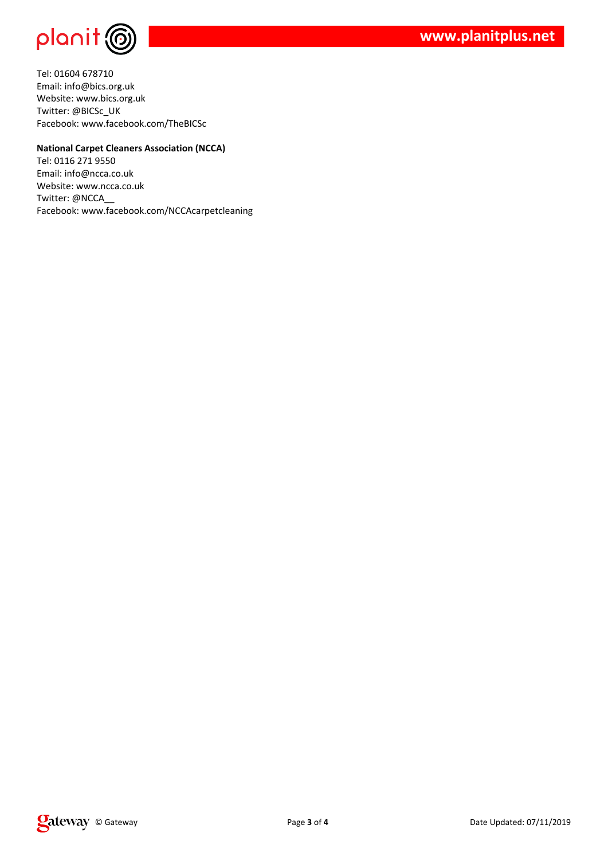

Tel: 01604 678710 Email: info@bics.org.uk Website: www.bics.org.uk Twitter: @BICSc\_UK Facebook: www.facebook.com/TheBICSc

#### **National Carpet Cleaners Association (NCCA)**

Tel: 0116 271 9550 Email: info@ncca.co.uk Website: www.ncca.co.uk Twitter: @NCCA\_\_ Facebook: www.facebook.com/NCCAcarpetcleaning